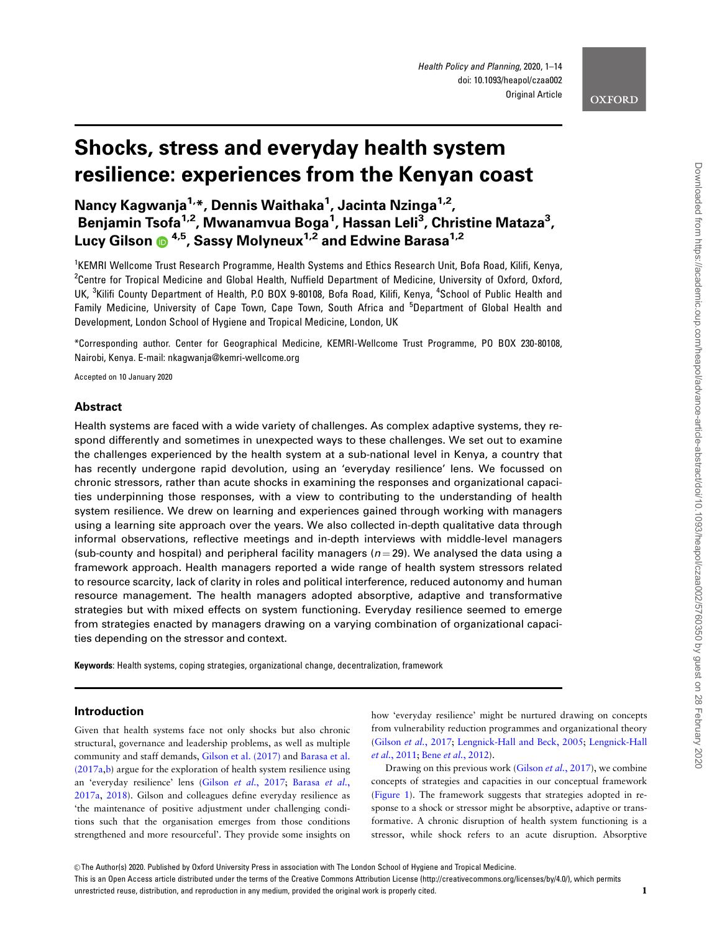## **OXFORD**

# Shocks, stress and everyday health system resilience: experiences from the Kenyan coast

Nancy Kagwanja<sup>1,</sup>\*, Dennis Waithaka<sup>1</sup>, Jacinta Nzinga<sup>1,2</sup>, Benjamin Tsofa<sup>1,2</sup>, Mwanamvua Boga<sup>1</sup>, Hassan Leli<sup>3</sup>, Christine Mataza<sup>3</sup>, Lucy Gilson <sup>4,5</sup>, Sassy Molyneux<sup>1,2</sup> and Edwine Barasa<sup>1,2</sup>

<sup>1</sup>KEMRI Wellcome Trust Research Programme, Health Systems and Ethics Research Unit, Bofa Road, Kilifi, Kenya,  $^{\text{2}}$ Centre for Tropical Medicine and Global Health, Nuffield Department of Medicine, University of Oxford, Oxford, UK, <sup>3</sup>Kilifi County Department of Health, P.O BOX 9-80108, Bofa Road, Kilifi, Kenya, <sup>4</sup>School of Public Health and Family Medicine, University of Cape Town, Cape Town, South Africa and <sup>5</sup>Department of Global Health and Development, London School of Hygiene and Tropical Medicine, London, UK

\*Corresponding author. Center for Geographical Medicine, KEMRI-Wellcome Trust Programme, PO BOX 230-80108, Nairobi, Kenya. E-mail: nkagwanja@kemri-wellcome.org

Accepted on 10 January 2020

# Abstract

Health systems are faced with a wide variety of challenges. As complex adaptive systems, they respond differently and sometimes in unexpected ways to these challenges. We set out to examine the challenges experienced by the health system at a sub-national level in Kenya, a country that has recently undergone rapid devolution, using an 'everyday resilience' lens. We focussed on chronic stressors, rather than acute shocks in examining the responses and organizational capacities underpinning those responses, with a view to contributing to the understanding of health system resilience. We drew on learning and experiences gained through working with managers using a learning site approach over the years. We also collected in-depth qualitative data through informal observations, reflective meetings and in-depth interviews with middle-level managers (sub-county and hospital) and peripheral facility managers ( $n = 29$ ). We analysed the data using a framework approach. Health managers reported a wide range of health system stressors related to resource scarcity, lack of clarity in roles and political interference, reduced autonomy and human resource management. The health managers adopted absorptive, adaptive and transformative strategies but with mixed effects on system functioning. Everyday resilience seemed to emerge from strategies enacted by managers drawing on a varying combination of organizational capacities depending on the stressor and context.

Keywords: Health systems, coping strategies, organizational change, decentralization, framework

## Introduction

Given that health systems face not only shocks but also chronic structural, governance and leadership problems, as well as multiple community and staff demands, [Gilson et al. \(2017\)](#page-12-0) and [Barasa et al.](#page-12-0) [\(2017a](#page-12-0),[b](#page-12-0)) argue for the exploration of health system resilience using an 'everyday resilience' lens (Gilson et al.[, 2017;](#page-12-0) [Barasa](#page-12-0) et al., [2017a,](#page-12-0) [2018](#page-12-0)). Gilson and colleagues define everyday resilience as 'the maintenance of positive adjustment under challenging conditions such that the organisation emerges from those conditions strengthened and more resourceful'. They provide some insights on how 'everyday resilience' might be nurtured drawing on concepts from vulnerability reduction programmes and organizational theory ([Gilson](#page-12-0) et al., 2017; [Lengnick-Hall and Beck, 2005;](#page-12-0) [Lengnick-Hall](#page-12-0) et al.[, 2011;](#page-12-0) Bene et al.[, 2012\)](#page-12-0).

Drawing on this previous work [\(Gilson](#page-12-0) et al., 2017), we combine concepts of strategies and capacities in our conceptual framework ([Figure 1](#page-1-0)). The framework suggests that strategies adopted in response to a shock or stressor might be absorptive, adaptive or transformative. A chronic disruption of health system functioning is a stressor, while shock refers to an acute disruption. Absorptive

This is an Open Access article distributed under the terms of the Creative Commons Attribution License (http://creativecommons.org/licenses/by/4.0/), which permits unrestricted reuse, distribution, and reproduction in any medium, provided the original work is properly cited.  $1$ 

<sup>©</sup> The Author(s) 2020. Published by Oxford University Press in association with The London School of Hygiene and Tropical Medicine.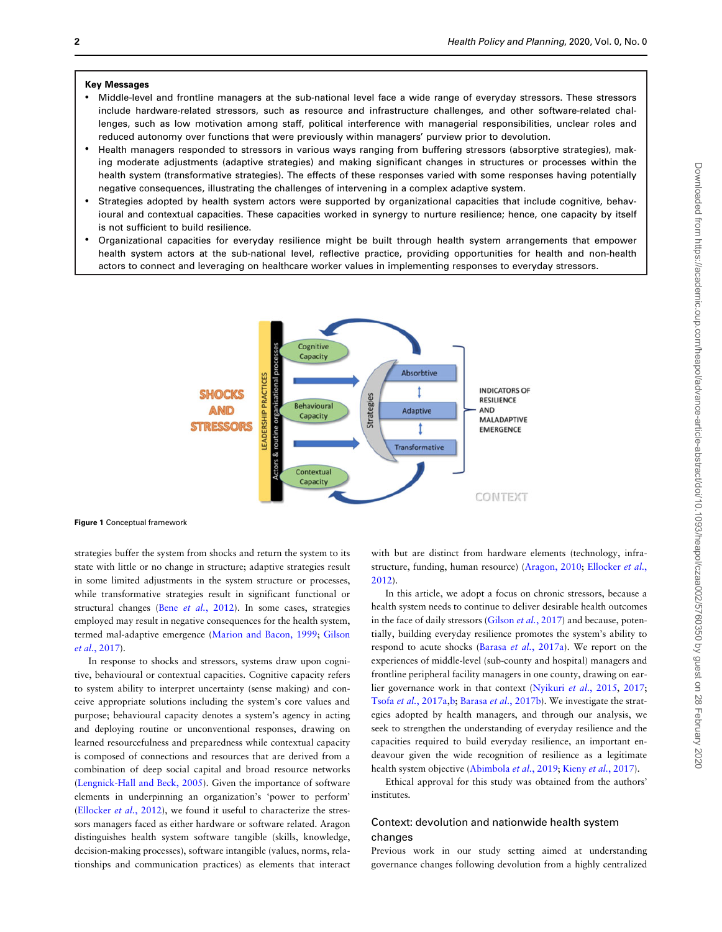#### <span id="page-1-0"></span>Key Messages

- Middle-level and frontline managers at the sub-national level face a wide range of everyday stressors. These stressors include hardware-related stressors, such as resource and infrastructure challenges, and other software-related challenges, such as low motivation among staff, political interference with managerial responsibilities, unclear roles and reduced autonomy over functions that were previously within managers' purview prior to devolution.
- Health managers responded to stressors in various ways ranging from buffering stressors (absorptive strategies), making moderate adjustments (adaptive strategies) and making significant changes in structures or processes within the health system (transformative strategies). The effects of these responses varied with some responses having potentially negative consequences, illustrating the challenges of intervening in a complex adaptive system.
- Strategies adopted by health system actors were supported by organizational capacities that include cognitive, behavioural and contextual capacities. These capacities worked in synergy to nurture resilience; hence, one capacity by itself is not sufficient to build resilience.
- Organizational capacities for everyday resilience might be built through health system arrangements that empower health system actors at the sub-national level, reflective practice, providing opportunities for health and non-health actors to connect and leveraging on healthcare worker values in implementing responses to everyday stressors.



#### Figure 1 Conceptual framework

strategies buffer the system from shocks and return the system to its state with little or no change in structure; adaptive strategies result in some limited adjustments in the system structure or processes, while transformative strategies result in significant functional or structural changes (Bene et al.[, 2012\)](#page-12-0). In some cases, strategies employed may result in negative consequences for the health system, termed mal-adaptive emergence ([Marion and Bacon, 1999](#page-12-0); [Gilson](#page-12-0) et al.[, 2017\)](#page-12-0).

In response to shocks and stressors, systems draw upon cognitive, behavioural or contextual capacities. Cognitive capacity refers to system ability to interpret uncertainty (sense making) and conceive appropriate solutions including the system's core values and purpose; behavioural capacity denotes a system's agency in acting and deploying routine or unconventional responses, drawing on learned resourcefulness and preparedness while contextual capacity is composed of connections and resources that are derived from a combination of deep social capital and broad resource networks ([Lengnick-Hall and Beck, 2005](#page-12-0)). Given the importance of software elements in underpinning an organization's 'power to perform' ([Ellocker](#page-12-0) et al., 2012), we found it useful to characterize the stressors managers faced as either hardware or software related. Aragon distinguishes health system software tangible (skills, knowledge, decision-making processes), software intangible (values, norms, relationships and communication practices) as elements that interact

with but are distinct from hardware elements (technology, infrastructure, funding, human resource) [\(Aragon, 2010](#page-12-0); [Ellocker](#page-12-0) et al., [2012\)](#page-12-0).

In this article, we adopt a focus on chronic stressors, because a health system needs to continue to deliver desirable health outcomes in the face of daily stressors ([Gilson](#page-12-0) *et al.*, 2017) and because, potentially, building everyday resilience promotes the system's ability to respond to acute shocks (Barasa et al.[, 2017a\)](#page-12-0). We report on the experiences of middle-level (sub-county and hospital) managers and frontline peripheral facility managers in one county, drawing on earlier governance work in that context [\(Nyikuri](#page-12-0) et al., 2015, [2017;](#page-12-0) Tsofa et al.[, 2017a,b](#page-13-0); Barasa et al.[, 2017b\)](#page-12-0). We investigate the strategies adopted by health managers, and through our analysis, we seek to strengthen the understanding of everyday resilience and the capacities required to build everyday resilience, an important endeavour given the wide recognition of resilience as a legitimate health system objective ([Abimbola](#page-12-0) et al., 2019; Kieny et al.[, 2017](#page-12-0)).

Ethical approval for this study was obtained from the authors' institutes.

# Context: devolution and nationwide health system changes

Previous work in our study setting aimed at understanding governance changes following devolution from a highly centralized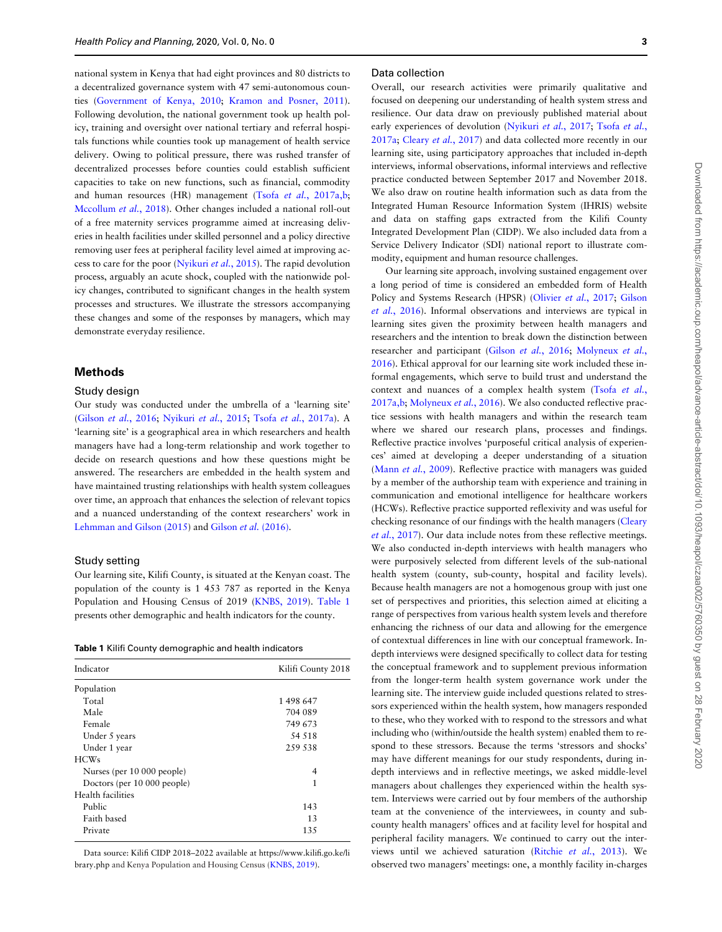national system in Kenya that had eight provinces and 80 districts to a decentralized governance system with 47 semi-autonomous counties [\(Government of Kenya, 2010;](#page-12-0) [Kramon and Posner, 2011](#page-12-0)). Following devolution, the national government took up health policy, training and oversight over national tertiary and referral hospitals functions while counties took up management of health service delivery. Owing to political pressure, there was rushed transfer of decentralized processes before counties could establish sufficient capacities to take on new functions, such as financial, commodity and human resources (HR) management (Tsofa et al.[, 2017a,b;](#page-13-0) [Mccollum](#page-12-0) et al., 2018). Other changes included a national roll-out of a free maternity services programme aimed at increasing deliveries in health facilities under skilled personnel and a policy directive removing user fees at peripheral facility level aimed at improving access to care for the poor [\(Nyikuri](#page-12-0) et al., 2015). The rapid devolution process, arguably an acute shock, coupled with the nationwide policy changes, contributed to significant changes in the health system processes and structures. We illustrate the stressors accompanying these changes and some of the responses by managers, which may demonstrate everyday resilience.

## Methods

## Study design

Our study was conducted under the umbrella of a 'learning site' (Gilson et al.[, 2016;](#page-12-0) [Nyikuri](#page-12-0) et al., 2015; Tsofa et al.[, 2017a](#page-13-0)). A 'learning site' is a geographical area in which researchers and health managers have had a long-term relationship and work together to decide on research questions and how these questions might be answered. The researchers are embedded in the health system and have maintained trusting relationships with health system colleagues over time, an approach that enhances the selection of relevant topics and a nuanced understanding of the context researchers' work in [Lehmman and Gilson \(2015](#page-12-0)) and Gilson et al. [\(2016\)](#page-12-0).

## Study setting

Our learning site, Kilifi County, is situated at the Kenyan coast. The population of the county is 1 453 787 as reported in the Kenya Population and Housing Census of 2019 [\(KNBS, 2019\)](#page-12-0). Table 1 presents other demographic and health indicators for the county.

Table 1 Kilifi County demographic and health indicators

| Kilifi County 2018 |
|--------------------|
|                    |
| 1498647            |
| 704 089            |
| 749 673            |
| 54 5 18            |
| 2.59.538           |
|                    |
| 4                  |
| 1                  |
|                    |
| 143                |
| 13                 |
| 135                |
|                    |

Data source: Kilifi CIDP 2018–2022 available at [https://www.kilifi.go.ke/li](https://www.kilifi.go.ke/library.php ) [brary.php](https://www.kilifi.go.ke/library.php ) and Kenya Population and Housing Census [\(KNBS, 2019](#page-12-0)).

# Data collection

Overall, our research activities were primarily qualitative and focused on deepening our understanding of health system stress and resilience. Our data draw on previously published material about early experiences of devolution [\(Nyikuri](#page-12-0) et al., 2017; [Tsofa](#page-13-0) et al., [2017a;](#page-13-0) Cleary et al.[, 2017\)](#page-12-0) and data collected more recently in our learning site, using participatory approaches that included in-depth interviews, informal observations, informal interviews and reflective practice conducted between September 2017 and November 2018. We also draw on routine health information such as data from the Integrated Human Resource Information System (IHRIS) website and data on staffing gaps extracted from the Kilifi County Integrated Development Plan (CIDP). We also included data from a Service Delivery Indicator (SDI) national report to illustrate commodity, equipment and human resource challenges.

Our learning site approach, involving sustained engagement over a long period of time is considered an embedded form of Health Policy and Systems Research (HPSR) [\(Olivier](#page-13-0) et al., 2017; [Gilson](#page-12-0) et al.[, 2016\)](#page-12-0). Informal observations and interviews are typical in learning sites given the proximity between health managers and researchers and the intention to break down the distinction between researcher and participant (Gilson et al.[, 2016](#page-12-0); [Molyneux](#page-12-0) et al., [2016\)](#page-12-0). Ethical approval for our learning site work included these informal engagements, which serve to build trust and understand the context and nuances of a complex health system ([Tsofa](#page-13-0) et al., [2017a,b](#page-13-0); [Molyneux](#page-12-0) et al., 2016). We also conducted reflective practice sessions with health managers and within the research team where we shared our research plans, processes and findings. Reflective practice involves 'purposeful critical analysis of experiences' aimed at developing a deeper understanding of a situation (Mann et al.[, 2009\)](#page-12-0). Reflective practice with managers was guided by a member of the authorship team with experience and training in communication and emotional intelligence for healthcare workers (HCWs). Reflective practice supported reflexivity and was useful for checking resonance of our findings with the health managers ([Cleary](#page-12-0) et al.[, 2017\)](#page-12-0). Our data include notes from these reflective meetings. We also conducted in-depth interviews with health managers who were purposively selected from different levels of the sub-national health system (county, sub-county, hospital and facility levels). Because health managers are not a homogenous group with just one set of perspectives and priorities, this selection aimed at eliciting a range of perspectives from various health system levels and therefore enhancing the richness of our data and allowing for the emergence of contextual differences in line with our conceptual framework. Indepth interviews were designed specifically to collect data for testing the conceptual framework and to supplement previous information from the longer-term health system governance work under the learning site. The interview guide included questions related to stressors experienced within the health system, how managers responded to these, who they worked with to respond to the stressors and what including who (within/outside the health system) enabled them to respond to these stressors. Because the terms 'stressors and shocks' may have different meanings for our study respondents, during indepth interviews and in reflective meetings, we asked middle-level managers about challenges they experienced within the health system. Interviews were carried out by four members of the authorship team at the convenience of the interviewees, in county and subcounty health managers' offices and at facility level for hospital and peripheral facility managers. We continued to carry out the interviews until we achieved saturation (Ritchie et al.[, 2013\)](#page-13-0). We observed two managers' meetings: one, a monthly facility in-charges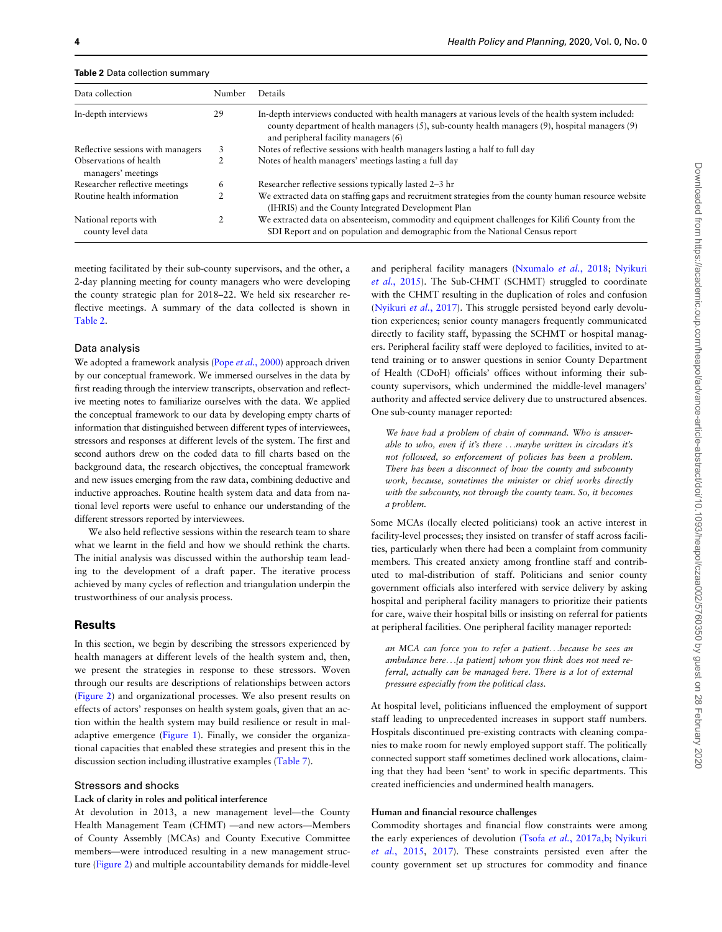Table 2 Data collection summary

| Data collection                              | Number | Details                                                                                                                                                                                                                                        |
|----------------------------------------------|--------|------------------------------------------------------------------------------------------------------------------------------------------------------------------------------------------------------------------------------------------------|
| In-depth interviews                          | 29     | In-depth interviews conducted with health managers at various levels of the health system included:<br>county department of health managers (5), sub-county health managers (9), hospital managers (9)<br>and peripheral facility managers (6) |
| Reflective sessions with managers            | 3      | Notes of reflective sessions with health managers lasting a half to full day                                                                                                                                                                   |
| Observations of health<br>managers' meetings |        | Notes of health managers' meetings lasting a full day                                                                                                                                                                                          |
| Researcher reflective meetings               | 6      | Researcher reflective sessions typically lasted 2–3 hr                                                                                                                                                                                         |
| Routine health information                   |        | We extracted data on staffing gaps and recruitment strategies from the county human resource website<br>(IHRIS) and the County Integrated Development Plan                                                                                     |
| National reports with<br>county level data   |        | We extracted data on absenteeism, commodity and equipment challenges for Kilifi County from the<br>SDI Report and on population and demographic from the National Census report                                                                |

meeting facilitated by their sub-county supervisors, and the other, a 2-day planning meeting for county managers who were developing the county strategic plan for 2018–22. We held six researcher reflective meetings. A summary of the data collected is shown in Table 2.

## Data analysis

We adopted a framework analysis (Pope et al.[, 2000\)](#page-13-0) approach driven by our conceptual framework. We immersed ourselves in the data by first reading through the interview transcripts, observation and reflective meeting notes to familiarize ourselves with the data. We applied the conceptual framework to our data by developing empty charts of information that distinguished between different types of interviewees, stressors and responses at different levels of the system. The first and second authors drew on the coded data to fill charts based on the background data, the research objectives, the conceptual framework and new issues emerging from the raw data, combining deductive and inductive approaches. Routine health system data and data from national level reports were useful to enhance our understanding of the different stressors reported by interviewees.

We also held reflective sessions within the research team to share what we learnt in the field and how we should rethink the charts. The initial analysis was discussed within the authorship team leading to the development of a draft paper. The iterative process achieved by many cycles of reflection and triangulation underpin the trustworthiness of our analysis process.

## **Results**

In this section, we begin by describing the stressors experienced by health managers at different levels of the health system and, then, we present the strategies in response to these stressors. Woven through our results are descriptions of relationships between actors ([Figure 2\)](#page-4-0) and organizational processes. We also present results on effects of actors' responses on health system goals, given that an action within the health system may build resilience or result in maladaptive emergence ([Figure 1\)](#page-1-0). Finally, we consider the organizational capacities that enabled these strategies and present this in the discussion section including illustrative examples ([Table 7\)](#page-9-0).

## Stressors and shocks

## Lack of clarity in roles and political interference

At devolution in 2013, a new management level—the County Health Management Team (CHMT) —and new actors—Members of County Assembly (MCAs) and County Executive Committee members—were introduced resulting in a new management structure ([Figure 2\)](#page-4-0) and multiple accountability demands for middle-level and peripheral facility managers [\(Nxumalo](#page-12-0) et al., 2018; [Nyikuri](#page-12-0) et al.[, 2015](#page-12-0)). The Sub-CHMT (SCHMT) struggled to coordinate with the CHMT resulting in the duplication of roles and confusion ([Nyikuri](#page-12-0) et al., 2017). This struggle persisted beyond early devolution experiences; senior county managers frequently communicated directly to facility staff, bypassing the SCHMT or hospital managers. Peripheral facility staff were deployed to facilities, invited to attend training or to answer questions in senior County Department of Health (CDoH) officials' offices without informing their subcounty supervisors, which undermined the middle-level managers' authority and affected service delivery due to unstructured absences. One sub-county manager reported:

We have had a problem of chain of command. Who is answerable to who, even if it's there ...maybe written in circulars it's not followed, so enforcement of policies has been a problem. There has been a disconnect of how the county and subcounty work, because, sometimes the minister or chief works directly with the subcounty, not through the county team. So, it becomes a problem.

Some MCAs (locally elected politicians) took an active interest in facility-level processes; they insisted on transfer of staff across facilities, particularly when there had been a complaint from community members. This created anxiety among frontline staff and contributed to mal-distribution of staff. Politicians and senior county government officials also interfered with service delivery by asking hospital and peripheral facility managers to prioritize their patients for care, waive their hospital bills or insisting on referral for patients at peripheral facilities. One peripheral facility manager reported:

an MCA can force you to refer a patient...because he sees an ambulance here...[a patient] whom you think does not need referral, actually can be managed here. There is a lot of external pressure especially from the political class.

At hospital level, politicians influenced the employment of support staff leading to unprecedented increases in support staff numbers. Hospitals discontinued pre-existing contracts with cleaning companies to make room for newly employed support staff. The politically connected support staff sometimes declined work allocations, claiming that they had been 'sent' to work in specific departments. This created inefficiencies and undermined health managers.

#### Human and financial resource challenges

Commodity shortages and financial flow constraints were among the early experiences of devolution (Tsofa et al.[, 2017a,b;](#page-13-0) [Nyikuri](#page-12-0) et al.[, 2015,](#page-12-0) [2017\)](#page-12-0). These constraints persisted even after the county government set up structures for commodity and finance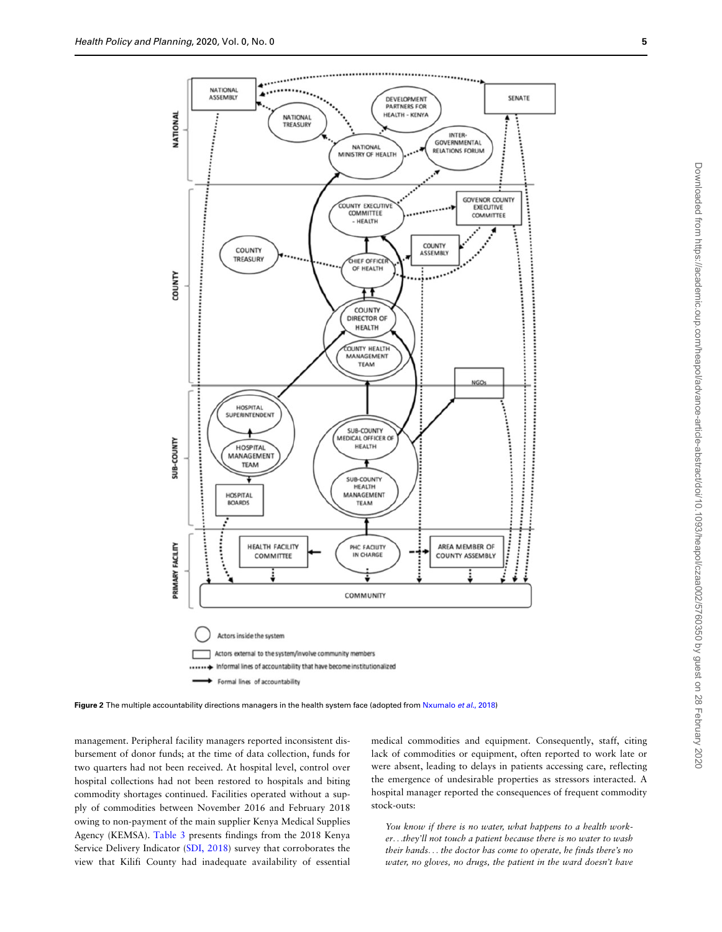Downloaded from https://academic.oup.com/heapol/advance-article-abstract/doi/10.1093/heapol/czaa002/5760350 by guest on 28 February 2020

Downloaded from https://academic.oup.com/heapol/advance-article-abstract/doi/10.1093/heapol/czaa002/5760350 by guest on 28 February 2020

<span id="page-4-0"></span>

Figure 2 The multiple accountability directions managers in the health system face (adopted from [Nxumalo](#page-12-0) et al., 2018)

management. Peripheral facility managers reported inconsistent disbursement of donor funds; at the time of data collection, funds for two quarters had not been received. At hospital level, control over hospital collections had not been restored to hospitals and biting commodity shortages continued. Facilities operated without a supply of commodities between November 2016 and February 2018 owing to non-payment of the main supplier Kenya Medical Supplies Agency (KEMSA). [Table 3](#page-5-0) presents findings from the 2018 Kenya Service Delivery Indicator [\(SDI, 2018\)](#page-13-0) survey that corroborates the view that Kilifi County had inadequate availability of essential medical commodities and equipment. Consequently, staff, citing lack of commodities or equipment, often reported to work late or were absent, leading to delays in patients accessing care, reflecting the emergence of undesirable properties as stressors interacted. A hospital manager reported the consequences of frequent commodity stock-outs:

You know if there is no water, what happens to a health worker...they'll not touch a patient because there is no water to wash their hands... the doctor has come to operate, he finds there's no water, no gloves, no drugs, the patient in the ward doesn't have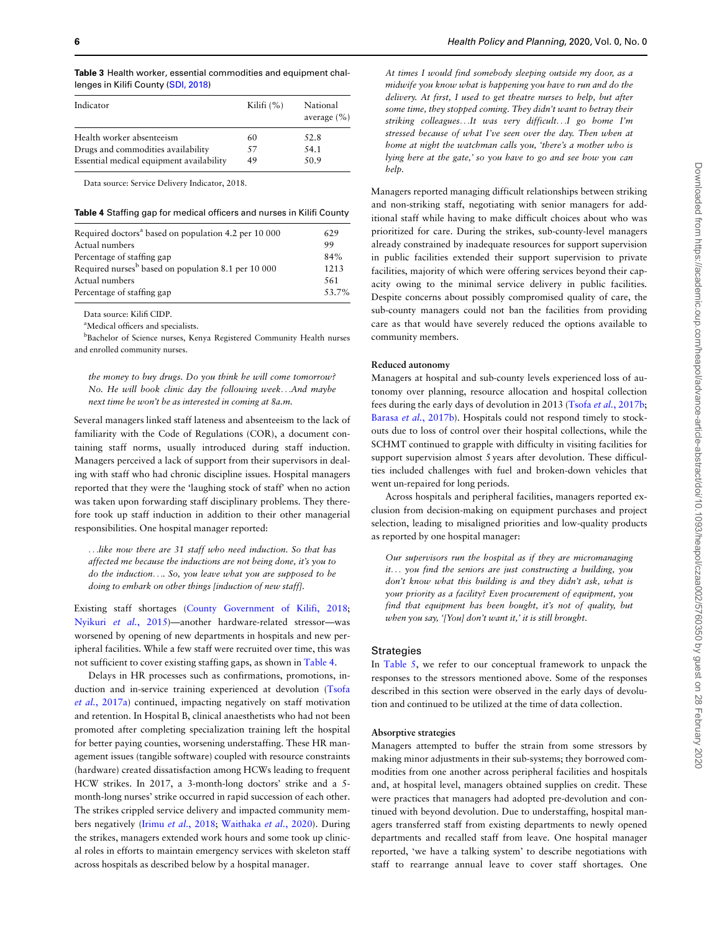<span id="page-5-0"></span>Table 3 Health worker, essential commodities and equipment challenges in Kilifi County ([SDI, 2018\)](#page-13-0)

| Kilifi $(\% )$ | National<br>average $(\% )$ |
|----------------|-----------------------------|
| 60             | 52.8                        |
| 57             | 54.1                        |
| 49             | 50.9                        |
|                |                             |

Data source: Service Delivery Indicator, 2018.

Table 4 Staffing gap for medical officers and nurses in Kilifi County

| Required doctors <sup>a</sup> based on population 4.2 per 10 000 | 629   |
|------------------------------------------------------------------|-------|
| Actual numbers                                                   | 99    |
| Percentage of staffing gap                                       | 84%   |
| Required nurses <sup>b</sup> based on population 8.1 per 10 000  | 1213  |
| Actual numbers                                                   | 561   |
| Percentage of staffing gap                                       | 53.7% |

Data source: Kilifi CIDP.

a Medical officers and specialists.

b Bachelor of Science nurses, Kenya Registered Community Health nurses and enrolled community nurses.

the money to buy drugs. Do you think he will come tomorrow? No. He will book clinic day the following week...And maybe next time he won't be as interested in coming at 8a.m.

Several managers linked staff lateness and absenteeism to the lack of familiarity with the Code of Regulations (COR), a document containing staff norms, usually introduced during staff induction. Managers perceived a lack of support from their supervisors in dealing with staff who had chronic discipline issues. Hospital managers reported that they were the 'laughing stock of staff' when no action was taken upon forwarding staff disciplinary problems. They therefore took up staff induction in addition to their other managerial responsibilities. One hospital manager reported:

...like now there are 31 staff who need induction. So that has affected me because the inductions are not being done, it's you to do the induction.... So, you leave what you are supposed to be doing to embark on other things [induction of new staff].

Existing staff shortages [\(County Government of Kilifi, 2018;](#page-12-0) [Nyikuri](#page-12-0) et al., 2015)—another hardware-related stressor—was worsened by opening of new departments in hospitals and new peripheral facilities. While a few staff were recruited over time, this was not sufficient to cover existing staffing gaps, as shown in Table 4.

Delays in HR processes such as confirmations, promotions, induction and in-service training experienced at devolution ([Tsofa](#page-13-0) et al.[, 2017a](#page-13-0)) continued, impacting negatively on staff motivation and retention. In Hospital B, clinical anaesthetists who had not been promoted after completing specialization training left the hospital for better paying counties, worsening understaffing. These HR management issues (tangible software) coupled with resource constraints (hardware) created dissatisfaction among HCWs leading to frequent HCW strikes. In 2017, a 3-month-long doctors' strike and a 5 month-long nurses' strike occurred in rapid succession of each other. The strikes crippled service delivery and impacted community members negatively (Irimu et al.[, 2018;](#page-12-0) [Waithaka](#page-13-0) et al., 2020). During the strikes, managers extended work hours and some took up clinical roles in efforts to maintain emergency services with skeleton staff across hospitals as described below by a hospital manager.

At times I would find somebody sleeping outside my door, as a midwife you know what is happening you have to run and do the delivery. At first, I used to get theatre nurses to help, but after some time, they stopped coming. They didn't want to betray their striking colleagues...It was very difficult...I go home I'm stressed because of what I've seen over the day. Then when at home at night the watchman calls you, 'there's a mother who is lying here at the gate,' so you have to go and see how you can help.

Managers reported managing difficult relationships between striking and non-striking staff, negotiating with senior managers for additional staff while having to make difficult choices about who was prioritized for care. During the strikes, sub-county-level managers already constrained by inadequate resources for support supervision in public facilities extended their support supervision to private facilities, majority of which were offering services beyond their capacity owing to the minimal service delivery in public facilities. Despite concerns about possibly compromised quality of care, the sub-county managers could not ban the facilities from providing care as that would have severely reduced the options available to community members.

## Reduced autonomy

Managers at hospital and sub-county levels experienced loss of autonomy over planning, resource allocation and hospital collection fees during the early days of devolution in 2013 (Tsofa et al.[, 2017b;](#page-13-0) Barasa et al.[, 2017b](#page-12-0)). Hospitals could not respond timely to stockouts due to loss of control over their hospital collections, while the SCHMT continued to grapple with difficulty in visiting facilities for support supervision almost 5 years after devolution. These difficulties included challenges with fuel and broken-down vehicles that went un-repaired for long periods.

Across hospitals and peripheral facilities, managers reported exclusion from decision-making on equipment purchases and project selection, leading to misaligned priorities and low-quality products as reported by one hospital manager:

Our supervisors run the hospital as if they are micromanaging it... you find the seniors are just constructing a building, you don't know what this building is and they didn't ask, what is your priority as a facility? Even procurement of equipment, you find that equipment has been bought, it's not of quality, but when you say, '[You] don't want it,' it is still brought.

#### **Strategies**

In [Table 5](#page-6-0), we refer to our conceptual framework to unpack the responses to the stressors mentioned above. Some of the responses described in this section were observed in the early days of devolution and continued to be utilized at the time of data collection.

## Absorptive strategies

Managers attempted to buffer the strain from some stressors by making minor adjustments in their sub-systems; they borrowed commodities from one another across peripheral facilities and hospitals and, at hospital level, managers obtained supplies on credit. These were practices that managers had adopted pre-devolution and continued with beyond devolution. Due to understaffing, hospital managers transferred staff from existing departments to newly opened departments and recalled staff from leave. One hospital manager reported, 'we have a talking system' to describe negotiations with staff to rearrange annual leave to cover staff shortages. One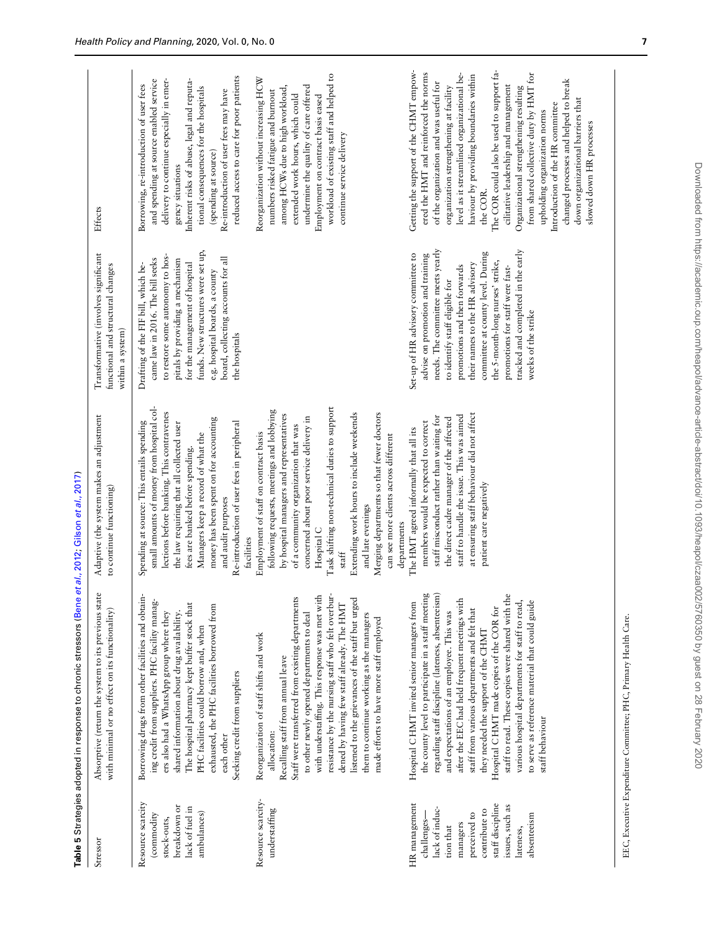<span id="page-6-0"></span>

|                                                                                                                                                                             | <b>Table 5</b> Strategies added to the conservation of the strategies of the strategies and the strategies of the strategies of the strategies of the strategies of the strategies of the strategies of the strategies of the strat                                                                                                                                                                                                                                                                                                                                  |                                                                                                                                                                                                                                                                                                                                                                                                                                                                          |                                                                                                                                                                                                                                                                                                                                                                                          |                                                                                                                                                                                                                                                                                                                                                                                                                                                                                                                                                                                                                                |
|-----------------------------------------------------------------------------------------------------------------------------------------------------------------------------|----------------------------------------------------------------------------------------------------------------------------------------------------------------------------------------------------------------------------------------------------------------------------------------------------------------------------------------------------------------------------------------------------------------------------------------------------------------------------------------------------------------------------------------------------------------------|--------------------------------------------------------------------------------------------------------------------------------------------------------------------------------------------------------------------------------------------------------------------------------------------------------------------------------------------------------------------------------------------------------------------------------------------------------------------------|------------------------------------------------------------------------------------------------------------------------------------------------------------------------------------------------------------------------------------------------------------------------------------------------------------------------------------------------------------------------------------------|--------------------------------------------------------------------------------------------------------------------------------------------------------------------------------------------------------------------------------------------------------------------------------------------------------------------------------------------------------------------------------------------------------------------------------------------------------------------------------------------------------------------------------------------------------------------------------------------------------------------------------|
| Stressor                                                                                                                                                                    | Absorptive (return the system to its previous state<br>with minimal or no effect on its functionality)                                                                                                                                                                                                                                                                                                                                                                                                                                                               | Adaptive (the system makes an adjustment<br>to continue functioning)                                                                                                                                                                                                                                                                                                                                                                                                     | Transformative (involves significant<br>functional and structural changes<br>within a system)                                                                                                                                                                                                                                                                                            | Effects                                                                                                                                                                                                                                                                                                                                                                                                                                                                                                                                                                                                                        |
| Resource scarcity<br>breakdown or<br>lack of fuel in<br>ambulances)<br>(commodity<br>stock-outs,                                                                            | Borrowing drugs from other facilities and obtain-<br>ing credit from suppliers. PHC facility manag-<br>The hospital pharmacy kept buffer stock that<br>exhausted, the PHC facilities borrowed from<br>ers also had a WhatsApp group where they<br>shared information about drug availability<br>PHC facilities could borrow and, when<br>Seeking credit from suppliers<br>each other                                                                                                                                                                                 | small amounts of money from hospital col-<br>lections before banking. This contravenes<br>money has been spent on for accounting<br>Spending at source: This entails spending<br>Re-introduction of user fees in peripheral<br>the law requiring that all collected user<br>Managers keep a record of what the<br>fees are banked before spending.<br>and audit purposes<br>facilities                                                                                   | funds. New structures were set up,<br>to restore some autonomy to hos-<br>board, collecting accounts for all<br>came law in 2016. The bill seeks<br>pitals by providing a mechanism<br>for the management of hospital<br>Drafting of the FIF bill, which be-<br>e.g. hospital boards, a county<br>the hospitals                                                                          | reduced access to care for poor patients<br>delivery to continue especially in emer-<br>and spending at source enabled service<br>Inherent risks of abuse, legal and reputa-<br>Borrowing, re-introduction of user fees<br>tional consequences for the hospitals<br>Re-introduction of user fees may have<br>(spending at source)<br>gency situations                                                                                                                                                                                                                                                                          |
| Resource scarcity-<br>understaffing                                                                                                                                         | resistance by the nursing staff who felt overbur-<br>with understaffing. This response was met with<br>Staff were transferred from existing departments<br>listened to the grievances of the staff but urged<br>dened by having few staff already. The HMT<br>to other newly opened departments to deal<br>them to continue working as the managers<br>made efforts to have more staff employed<br>Reorganization of staff shifts and work<br>Recalling staff from annual leave<br>allocation:                                                                       | Task shifting non-technical duties to support<br>following requests, meetings and lobbying<br>Merging departments so that fewer doctors<br>Extending work hours to include weekends<br>by hospital managers and representatives<br>concerned about poor service delivery in<br>of a community organization that was<br>Employment of staff on contract basis<br>can see more clients across different<br>and late evenings<br>departments<br>Hospital C<br>$_{\rm stat}$ |                                                                                                                                                                                                                                                                                                                                                                                          | workload of existing staff and helped to<br>Reorganization without increasing HCW<br>undermine the quality of care offered<br>among HCWs due to high workload,<br>numbers risked fatigue and burnout<br>extended work hours, which could<br>Employment on contract basis eased<br>continue service delivery                                                                                                                                                                                                                                                                                                                    |
| HR management<br>staff discipline<br>issues, such as<br>lack of induc-<br>contribute to<br>perceived to<br>absenteeism<br>challenges-<br>managers<br>tion that<br>lateness, | the county level to participate in a staff meeting<br>regarding staff discipline (lateness, absenteeism)<br>staff to read. These copies were shared with the<br>after the EEC had held frequent meetings with<br>various hospital departments for staff to read,<br>to serve as reference material that could guide<br>Hospital CHMT invited senior managers from<br>Hospital CHMT made copies of the COR for<br>staff from various departments and felt that<br>and expectations of an employee. This was<br>they needed the support of the CHMT<br>staff behaviour | at ensuring staff behaviour did not affect<br>staff to handle the issue. This was aimed<br>staff misconduct rather than waiting for<br>the direct cadre manager of the affected<br>members would be expected to correct<br>The HMT agreed informally that all its<br>patient care negatively                                                                                                                                                                             | needs. The committee meets yearly<br>tracked and completed in the early<br>committee at county level. During<br>Set-up of HR advisory committee to<br>advise on promotion and training<br>the 5-month-long nurses' strike,<br>their names to the HR advisory<br>promotions and then forwards<br>promotions for staff were fast-<br>to identify staff eligible for<br>weeks of the strike | Getting the support of the CHMT empow-<br>The COR could also be used to support fa-<br>ered the HMT and reinforced the norms<br>level as it streamlined organizational be-<br>from shared collective duty by HMT for<br>haviour by providing boundaries within<br>changed processes and helped to break<br>of the organization and was useful for<br>cilitative leadership and management<br>organization strengthening at facility<br>Organizational strengthening resulting<br>down organizational barriers that<br>Introduction of the HR committee<br>upholding organization norms<br>slowed down HR processes<br>the COR. |

 $T100$   $15$ Table 5 Strategies adopted in response to chronic stressors ([Bene](#page-12-0) et al., 2012; [Gilson](#page-12-0) et al., 2017) at of 19949. City  $\frac{1}{2}$ J Table 5 Stratories adopted in

EEC, Executive Expenditure Committee; PHC, Primary Health Care. EEC, Executive Expenditure Committee; PHC, Primary Health Care.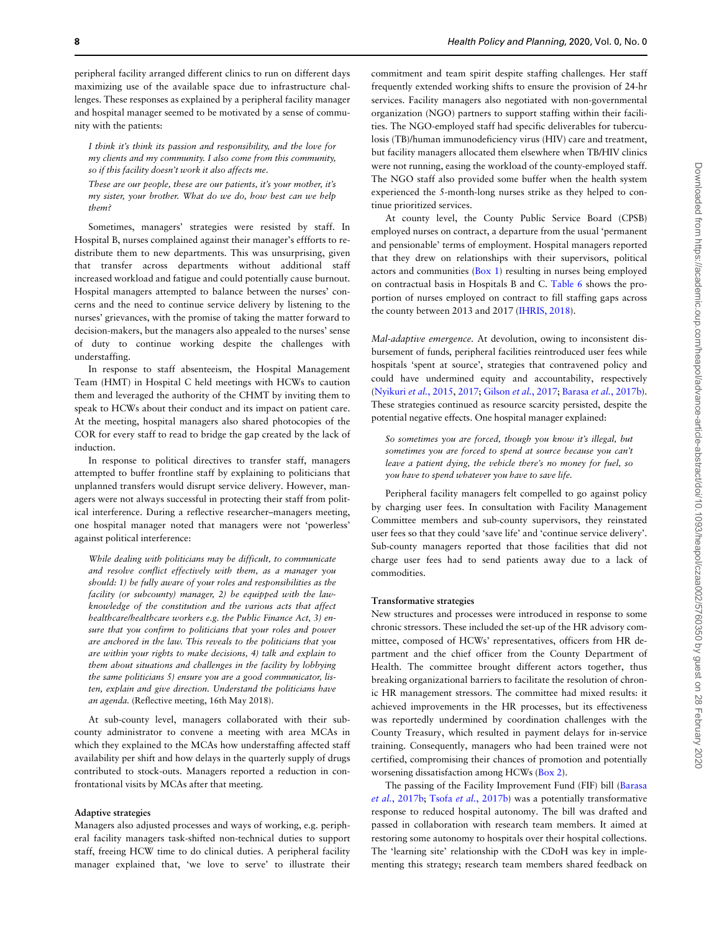peripheral facility arranged different clinics to run on different days maximizing use of the available space due to infrastructure challenges. These responses as explained by a peripheral facility manager and hospital manager seemed to be motivated by a sense of community with the patients:

I think it's think its passion and responsibility, and the love for my clients and my community. I also come from this community, so if this facility doesn't work it also affects me.

These are our people, these are our patients, it's your mother, it's my sister, your brother. What do we do, how best can we help them?

Sometimes, managers' strategies were resisted by staff. In Hospital B, nurses complained against their manager's effforts to redistribute them to new departments. This was unsurprising, given that transfer across departments without additional staff increased workload and fatigue and could potentially cause burnout. Hospital managers attempted to balance between the nurses' concerns and the need to continue service delivery by listening to the nurses' grievances, with the promise of taking the matter forward to decision-makers, but the managers also appealed to the nurses' sense of duty to continue working despite the challenges with understaffing.

In response to staff absenteeism, the Hospital Management Team (HMT) in Hospital C held meetings with HCWs to caution them and leveraged the authority of the CHMT by inviting them to speak to HCWs about their conduct and its impact on patient care. At the meeting, hospital managers also shared photocopies of the COR for every staff to read to bridge the gap created by the lack of induction.

In response to political directives to transfer staff, managers attempted to buffer frontline staff by explaining to politicians that unplanned transfers would disrupt service delivery. However, managers were not always successful in protecting their staff from political interference. During a reflective researcher–managers meeting, one hospital manager noted that managers were not 'powerless' against political interference:

While dealing with politicians may be difficult, to communicate and resolve conflict effectively with them, as a manager you should: 1) be fully aware of your roles and responsibilities as the facility (or subcounty) manager, 2) be equipped with the lawknowledge of the constitution and the various acts that affect healthcare/healthcare workers e.g. the Public Finance Act, 3) ensure that you confirm to politicians that your roles and power are anchored in the law. This reveals to the politicians that you are within your rights to make decisions, 4) talk and explain to them about situations and challenges in the facility by lobbying the same politicians 5) ensure you are a good communicator, listen, explain and give direction. Understand the politicians have an agenda. (Reflective meeting, 16th May 2018).

At sub-county level, managers collaborated with their subcounty administrator to convene a meeting with area MCAs in which they explained to the MCAs how understaffing affected staff availability per shift and how delays in the quarterly supply of drugs contributed to stock-outs. Managers reported a reduction in confrontational visits by MCAs after that meeting.

#### Adaptive strategies

Managers also adjusted processes and ways of working, e.g. peripheral facility managers task-shifted non-technical duties to support staff, freeing HCW time to do clinical duties. A peripheral facility manager explained that, 'we love to serve' to illustrate their

commitment and team spirit despite staffing challenges. Her staff frequently extended working shifts to ensure the provision of 24-hr services. Facility managers also negotiated with non-governmental organization (NGO) partners to support staffing within their facilities. The NGO-employed staff had specific deliverables for tuberculosis (TB)/human immunodeficiency virus (HIV) care and treatment, but facility managers allocated them elsewhere when TB/HIV clinics were not running, easing the workload of the county-employed staff. The NGO staff also provided some buffer when the health system experienced the 5-month-long nurses strike as they helped to continue prioritized services.

At county level, the County Public Service Board (CPSB) employed nurses on contract, a departure from the usual 'permanent and pensionable' terms of employment. Hospital managers reported that they drew on relationships with their supervisors, political actors and communities [\(Box 1\)](#page-8-0) resulting in nurses being employed on contractual basis in Hospitals B and C. [Table 6](#page-8-0) shows the proportion of nurses employed on contract to fill staffing gaps across the county between 2013 and 2017 [\(IHRIS, 2018\)](#page-12-0).

Mal-adaptive emergence. At devolution, owing to inconsistent disbursement of funds, peripheral facilities reintroduced user fees while hospitals 'spent at source', strategies that contravened policy and could have undermined equity and accountability, respectively ([Nyikuri](#page-12-0) et al., 2015, [2017](#page-12-0); [Gilson](#page-12-0) et al., 2017; Barasa et al.[, 2017b](#page-12-0)). These strategies continued as resource scarcity persisted, despite the potential negative effects. One hospital manager explained:

So sometimes you are forced, though you know it's illegal, but sometimes you are forced to spend at source because you can't leave a patient dying, the vehicle there's no money for fuel, so you have to spend whatever you have to save life.

Peripheral facility managers felt compelled to go against policy by charging user fees. In consultation with Facility Management Committee members and sub-county supervisors, they reinstated user fees so that they could 'save life' and 'continue service delivery'. Sub-county managers reported that those facilities that did not charge user fees had to send patients away due to a lack of commodities.

#### Transformative strategies

New structures and processes were introduced in response to some chronic stressors. These included the set-up of the HR advisory committee, composed of HCWs' representatives, officers from HR department and the chief officer from the County Department of Health. The committee brought different actors together, thus breaking organizational barriers to facilitate the resolution of chronic HR management stressors. The committee had mixed results: it achieved improvements in the HR processes, but its effectiveness was reportedly undermined by coordination challenges with the County Treasury, which resulted in payment delays for in-service training. Consequently, managers who had been trained were not certified, compromising their chances of promotion and potentially worsening dissatisfaction among HCWs ([Box 2\)](#page-8-0).

The passing of the Facility Improvement Fund (FIF) bill [\(Barasa](#page-12-0) et al.[, 2017b;](#page-12-0) Tsofa et al.[, 2017b](#page-13-0)) was a potentially transformative response to reduced hospital autonomy. The bill was drafted and passed in collaboration with research team members. It aimed at restoring some autonomy to hospitals over their hospital collections. The 'learning site' relationship with the CDoH was key in implementing this strategy; research team members shared feedback on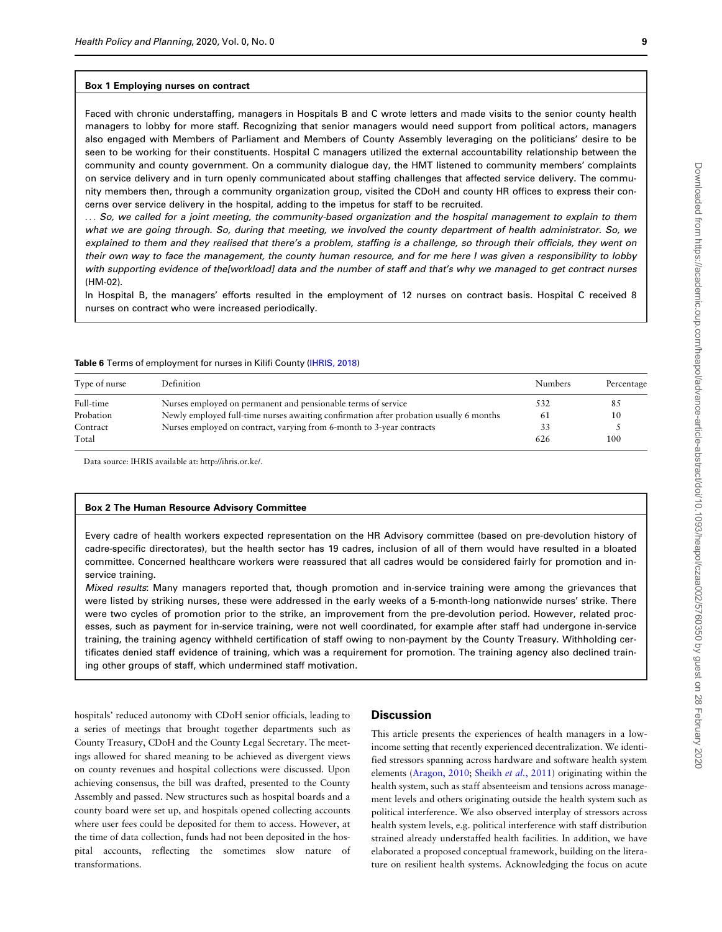#### <span id="page-8-0"></span>Box 1 Employing nurses on contract

Faced with chronic understaffing, managers in Hospitals B and C wrote letters and made visits to the senior county health managers to lobby for more staff. Recognizing that senior managers would need support from political actors, managers also engaged with Members of Parliament and Members of County Assembly leveraging on the politicians' desire to be seen to be working for their constituents. Hospital C managers utilized the external accountability relationship between the community and county government. On a community dialogue day, the HMT listened to community members' complaints on service delivery and in turn openly communicated about staffing challenges that affected service delivery. The community members then, through a community organization group, visited the CDoH and county HR offices to express their concerns over service delivery in the hospital, adding to the impetus for staff to be recruited.

... So, we called for a joint meeting, the community-based organization and the hospital management to explain to them what we are going through. So, during that meeting, we involved the county department of health administrator. So, we explained to them and they realised that there's a problem, staffing is a challenge, so through their officials, they went on their own way to face the management, the county human resource, and for me here I was given a responsibility to lobby with supporting evidence of the[workload] data and the number of staff and that's why we managed to get contract nurses (HM-02).

In Hospital B, the managers' efforts resulted in the employment of 12 nurses on contract basis. Hospital C received 8 nurses on contract who were increased periodically.

#### Table 6 Terms of employment for nurses in Kilifi County ([IHRIS, 2018\)](#page-12-0)

| Type of nurse | Definition                                                                             | Numbers | Percentage |
|---------------|----------------------------------------------------------------------------------------|---------|------------|
| Full-time     | Nurses employed on permanent and pensionable terms of service                          | 532     |            |
| Probation     | Newly employed full-time nurses awaiting confirmation after probation usually 6 months | 61      | 10         |
| Contract      | Nurses employed on contract, varying from 6-month to 3-year contracts                  | 33      |            |
| Total         |                                                                                        | 626     | 100        |

Data source: IHRIS available at: [http://ihris.or.ke/.](http://ihris.or.ke/)

#### Box 2 The Human Resource Advisory Committee

Every cadre of health workers expected representation on the HR Advisory committee (based on pre-devolution history of cadre-specific directorates), but the health sector has 19 cadres, inclusion of all of them would have resulted in a bloated committee. Concerned healthcare workers were reassured that all cadres would be considered fairly for promotion and inservice training.

Mixed results: Many managers reported that, though promotion and in-service training were among the grievances that were listed by striking nurses, these were addressed in the early weeks of a 5-month-long nationwide nurses' strike. There were two cycles of promotion prior to the strike, an improvement from the pre-devolution period. However, related processes, such as payment for in-service training, were not well coordinated, for example after staff had undergone in-service training, the training agency withheld certification of staff owing to non-payment by the County Treasury. Withholding certificates denied staff evidence of training, which was a requirement for promotion. The training agency also declined training other groups of staff, which undermined staff motivation.

hospitals' reduced autonomy with CDoH senior officials, leading to a series of meetings that brought together departments such as County Treasury, CDoH and the County Legal Secretary. The meetings allowed for shared meaning to be achieved as divergent views on county revenues and hospital collections were discussed. Upon achieving consensus, the bill was drafted, presented to the County Assembly and passed. New structures such as hospital boards and a county board were set up, and hospitals opened collecting accounts where user fees could be deposited for them to access. However, at the time of data collection, funds had not been deposited in the hospital accounts, reflecting the sometimes slow nature of transformations.

# **Discussion**

This article presents the experiences of health managers in a lowincome setting that recently experienced decentralization. We identified stressors spanning across hardware and software health system elements [\(Aragon, 2010](#page-12-0); [Sheikh](#page-13-0) et al., 2011) originating within the health system, such as staff absenteeism and tensions across management levels and others originating outside the health system such as political interference. We also observed interplay of stressors across health system levels, e.g. political interference with staff distribution strained already understaffed health facilities. In addition, we have elaborated a proposed conceptual framework, building on the literature on resilient health systems. Acknowledging the focus on acute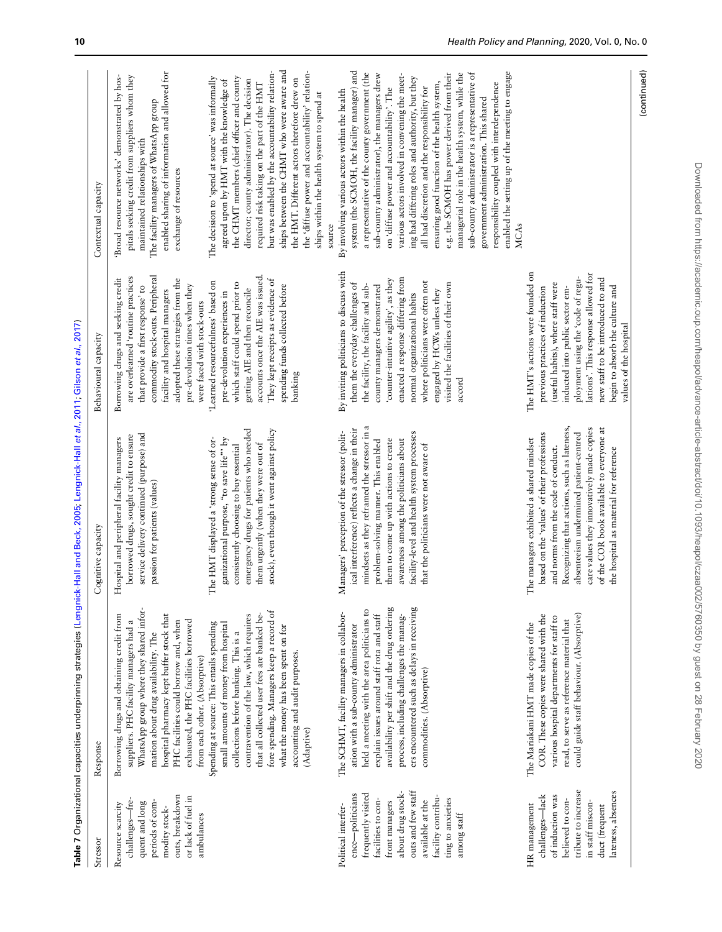<span id="page-9-0"></span>

| Stressor                                                                                                                                                                                                                       | Response                                                                                                                                                                                                                                                                                                                                                  | ognitive capacity<br>ŭ                                                                                                                                                                                                                                                                                                                                          | Behavioural capacity                                                                                                                                                                                                                                                                                                                                                               | Contextual capacity                                                                                                                                                                                                                                                                                                                                                                                                                                                                                                                                                                                                                                                                                                                                                 |
|--------------------------------------------------------------------------------------------------------------------------------------------------------------------------------------------------------------------------------|-----------------------------------------------------------------------------------------------------------------------------------------------------------------------------------------------------------------------------------------------------------------------------------------------------------------------------------------------------------|-----------------------------------------------------------------------------------------------------------------------------------------------------------------------------------------------------------------------------------------------------------------------------------------------------------------------------------------------------------------|------------------------------------------------------------------------------------------------------------------------------------------------------------------------------------------------------------------------------------------------------------------------------------------------------------------------------------------------------------------------------------|---------------------------------------------------------------------------------------------------------------------------------------------------------------------------------------------------------------------------------------------------------------------------------------------------------------------------------------------------------------------------------------------------------------------------------------------------------------------------------------------------------------------------------------------------------------------------------------------------------------------------------------------------------------------------------------------------------------------------------------------------------------------|
| outs, breakdown<br>or lack of fuel in<br>challenges-fre-<br>periods of com-<br>quent and long<br>Resource scarcity<br>modity stock-<br>ambulances                                                                              | WhatsApp group where they shared infor-<br>hospital pharmacy kept buffer stock that<br>Borrowing drugs and obtaining credit from<br>PHC facilities could borrow and, when<br>exhausted, the PHC facilities borrowed<br>suppliers. PHC facility managers had a<br>mation about drug availability. The<br>from each other. (Absorptive)                     | service delivery continued (purpose) and<br>borrowed drugs, sought credit to ensure<br>Hospital and peripheral facility managers<br>passion for patients (values)                                                                                                                                                                                               | commodity stock-outs. Peripheral<br>are overlearned 'routine practices<br>Borrowing drugs and seeking credit<br>adopted these strategies from the<br>pre-devolution times when they<br>that provide a first response' to<br>facility and hospital managers<br>were faced with stock-outs                                                                                           | enabled sharing of information and allowed for<br>pitals seeking credit from suppliers whom they<br>Broad resource networks' demonstrated by hos-<br>The facility managers of WhatsApp group<br>maintained relationships with<br>exchange of resources                                                                                                                                                                                                                                                                                                                                                                                                                                                                                                              |
|                                                                                                                                                                                                                                | fore spending. Managers keep a record of<br>that all collected user fees are banked be-<br>contravention of the law, which requires<br>Spending at source: This entails spending<br>small amounts of money from hospital<br>what the money has been spent on for<br>collections before banking. This is a<br>accounting and audit purposes.<br>(Adaptive) | stock), even though it went against policy<br>emergency drugs for patients who needed<br>The HMT displayed a 'strong sense of or-<br>ganizational purpose, "to save life" by<br>them urgently (when they were out of<br>consistently choosing to buy essential                                                                                                  | accounts once the AIE was issued.<br>They kept receipts as evidence of<br>'Learned resourcefulness' based on<br>which staff could spend prior to<br>spending funds collected before<br>getting AIE and then reconcile<br>pre-devolution experiences in<br>banking                                                                                                                  | ships between the CHMT who were aware and<br>but was enabled by the accountability relation-<br>the 'diffuse power and accountability' relation-<br>The decision to 'spend at source' was informally<br>the CHMT members (chief officer and county<br>director; county administrator). The decision<br>the HMT. Different actors therefore drew on<br>agreed upon by HMT with the knowledge of<br>required risk taking on the part of the HMT<br>ships within the health system to spend at<br>source                                                                                                                                                                                                                                                               |
| outs and few staff<br>about drug stock-<br>frequently visited<br>ence-politicians<br>facility contribu-<br>ting to anxieties<br>facilities to con-<br>front managers<br>available at the<br>Political interfer-<br>among staff | availability per shift and the drug ordering<br>ers encountered such as delays in receiving<br>held a meeting with the area politicians to<br>The SCHMT, facility managers in collabor-<br>process, including challenges the manag-<br>explain issues around staff rota and staff<br>ation with a sub-county administrator<br>commodities. (Absorptive)   | mindsets as they reframed the stressor in a<br>ical interference) reflects a change in their<br>Managers' perception of the stressor (polit-<br>facility-level and health system processes<br>them to come up with actions to create<br>awareness among the politicians about<br>problem-solving manner. This enabled<br>that the politicians were not aware of | By inviting politicians to discuss with<br>enacted a response differing from<br>'counter-intuitive agility', as they<br>where politicians were often not<br>them the everyday challenges of<br>visited the facilities of their own<br>the facility, the facility and sub-<br>county managers demonstrated<br>engaged by HCWs unless they<br>normal organizational habits<br>accord | system (the SCMOH, the facility manager) and<br>enabled the setting up of the meeting to engage<br>a representative of the county government (the<br>e.g. the SCMOH has power derived from their<br>managerial role in the health system, while the<br>sub-county administrator is a representative of<br>sub-county administrator), the managers drew<br>various actors involved in convening the meet-<br>ing had differing roles and authority, but they<br>ensuring good function of the health system,<br>responsibility coupled with interdependence<br>on 'diffuse power and accountability'. The<br>all had discretion and the responsibility for<br>By involving various actors within the health<br>government administration. This shared<br><b>MCAs</b> |
| tribute to increase<br>lateness, absences<br>of induction was<br>challenges-lack<br>believed to con-<br>in staff miscon-<br>HR management<br>duct (frequent                                                                    | could guide staff behaviour. (Absorptive)<br>COR. These copies were shared with the<br>various hospital departments for staff to<br>read, to serve as reference material that<br>The Mariakani HMT made copies of the                                                                                                                                     | Recognizing that actions, such as lateness,<br>of the COR book available to everyone at<br>care values they innovatively made copies<br>absenteeism undermined patient-centred<br>based on the 'values' of their professions<br>The managers exhibited a shared mindset<br>and norms from the code of conduct.<br>the hospital as material for reference        | The HMT's actions were founded on<br>lations'. This response allowed for<br>ployment using the 'code of regu-<br>new staff to be introduced to and<br>(useful habits), where staff were<br>inducted into public sector em-<br>begin to absorb the culture and<br>previous practices of induction<br>values of the hospital                                                         |                                                                                                                                                                                                                                                                                                                                                                                                                                                                                                                                                                                                                                                                                                                                                                     |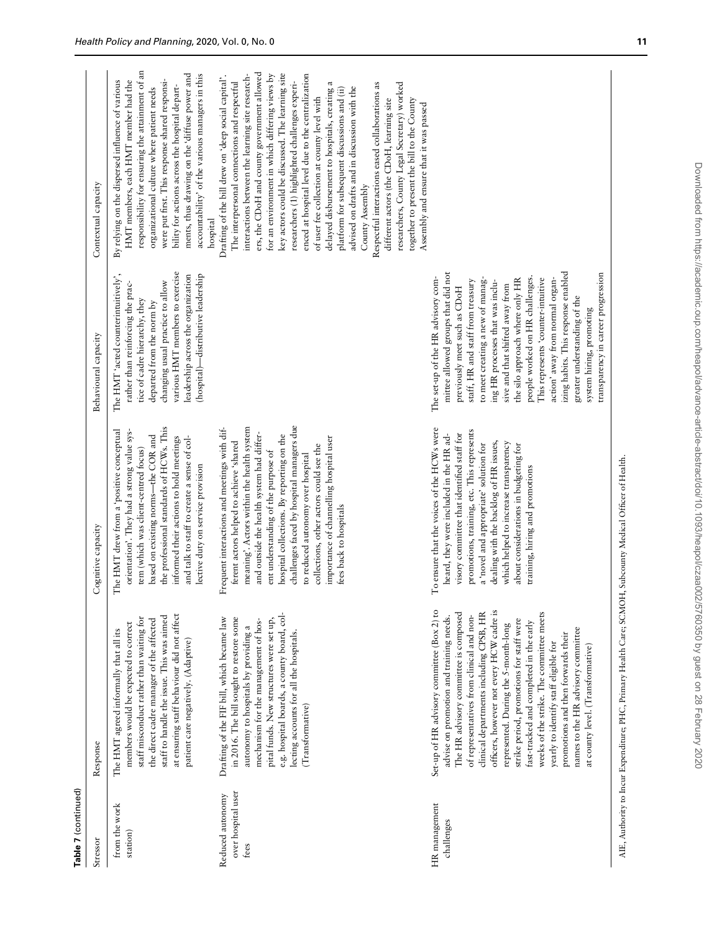| Table 7 (continued)                            |                                                                                                                                                                                                                                                                                                                                                                                                                                                                                                                                                                                                         |                                                                                                                                                                                                                                                                                                                                                                                                                                                                         |                                                                                                                                                                                                                                                                                                                                                                                                                                                                                                                                                  |                                                                                                                                                                                                                                                                                                                                                                                                                                                                                                                                                                                                                                                                                                                                                                                                                                                                               |
|------------------------------------------------|---------------------------------------------------------------------------------------------------------------------------------------------------------------------------------------------------------------------------------------------------------------------------------------------------------------------------------------------------------------------------------------------------------------------------------------------------------------------------------------------------------------------------------------------------------------------------------------------------------|-------------------------------------------------------------------------------------------------------------------------------------------------------------------------------------------------------------------------------------------------------------------------------------------------------------------------------------------------------------------------------------------------------------------------------------------------------------------------|--------------------------------------------------------------------------------------------------------------------------------------------------------------------------------------------------------------------------------------------------------------------------------------------------------------------------------------------------------------------------------------------------------------------------------------------------------------------------------------------------------------------------------------------------|-------------------------------------------------------------------------------------------------------------------------------------------------------------------------------------------------------------------------------------------------------------------------------------------------------------------------------------------------------------------------------------------------------------------------------------------------------------------------------------------------------------------------------------------------------------------------------------------------------------------------------------------------------------------------------------------------------------------------------------------------------------------------------------------------------------------------------------------------------------------------------|
| Stressor                                       | Response                                                                                                                                                                                                                                                                                                                                                                                                                                                                                                                                                                                                | Cognitive capacity                                                                                                                                                                                                                                                                                                                                                                                                                                                      | Behavioural capacity                                                                                                                                                                                                                                                                                                                                                                                                                                                                                                                             | Contextual capacity                                                                                                                                                                                                                                                                                                                                                                                                                                                                                                                                                                                                                                                                                                                                                                                                                                                           |
| from the work<br>station)                      | at ensuring staff behaviour did not affect<br>staff to handle the issue. This was aimed<br>staff misconduct rather than waiting for<br>the direct cadre manager of the affected<br>members would be expected to correct<br>The HMT agreed informally that all its<br>patient care negatively. (Adaptive)                                                                                                                                                                                                                                                                                                | the professional standards of HCWs. This<br>The HMT drew from a 'positive conceptual<br>orientation'. They had a strong value sys-<br>based on existing norms-the COR and<br>and talk to staff to create a sense of col-<br>informed their actions to hold meetings<br>tem (which was client-centred focus)<br>lective duty on service provision                                                                                                                        | various HMT members to exercise<br>The HMT 'acted counterintuitively',<br>leadership across the organization<br>(hospital)-distributive leadership<br>changing usual practice to allow<br>rather than reinforcing the prac-<br>tice of cadre hierarchy, they<br>departed from the norm by                                                                                                                                                                                                                                                        | responsibility for ensuring the attainment of an<br>ments, thus drawing on the 'diffuse power and<br>accountability' of the various managers in this<br>were put first. This response shared responsi-<br>By relying on the dispersed influence of various<br>HMT members, each HMT member had the<br>bility for actions across the hospital depart-<br>organizational culture where patient needs<br>hospital                                                                                                                                                                                                                                                                                                                                                                                                                                                                |
| over hospital user<br>Reduced autonomy<br>fees | e.g. hospital boards, a county board, col-<br>Drafting of the FIF bill, which became law<br>in 2016. The bill sought to restore some<br>pital funds. New structures were set up,<br>mechanism for the management of hos-<br>autonomy to hospitals by providing a<br>lecting accounts for all the hospitals.<br>(Transformative)                                                                                                                                                                                                                                                                         | challenges faced by hospital managers due<br>meaning'. Actors within the health system<br>Frequent interactions and meetings with dif-<br>and outside the health system had differ-<br>hospital collections. By reporting on the<br>importance of channelling hospital user<br>ferent actors helped to achieve 'shared<br>collections, other actors could see the<br>ent understanding of the purpose of<br>to reduced autonomy over hospital<br>fees back to hospitals |                                                                                                                                                                                                                                                                                                                                                                                                                                                                                                                                                  | ers, the CDoH and county government allowed<br>key actors could be discussed. The learning site<br>enced at hospital level due to the centralization<br>for an environment in which differing views by<br>interactions between the learning site research-<br>Drafting of the bill drew on 'deep social capital'.<br>researchers (1) highlighted challenges experi-<br>The interpersonal connections and respectful<br>delayed disbursement to hospitals, creating a<br>Respectful interactions eased collaborations as<br>researchers, County Legal Secretary) worked<br>advised on drafts and in discussion with the<br>platform for subsequent discussions and (ii)<br>of user fee collection at county level with<br>together to present the bill to the County<br>different actors (the CDoH, learning site<br>Assembly and ensure that it was passed<br>County Assembly |
| HR management<br>challenges                    | Set-up of HR advisory committee (Box 2) to<br>officers, however not every HCW cadre is<br>weeks of the strike. The committee meets<br>The HR advisory committee is composed<br>clinical departments including CPSB, HR<br>of representatives from clinical and non-<br>advise on promotion and training needs.<br>strike period, promotions for staff were<br>fast-tracked and completed in the early<br>represented. During the 5-month-long<br>names to the HR advisory committee<br>promotions and then forwards their<br>yearly to identify staff eligible for<br>at county level. (Transformative) | To ensure that the voices of the HCWs were<br>promotions, training, etc. This represents<br>visory committee that identified staff for<br>heard, they were included in the HR ad-<br>dealing with the backlog of HR issues,<br>which helped to increase transparency<br>a 'novel and appropriate' solution for<br>about considerations in budgeting for<br>training, hiring and promotions                                                                              | mittee allowed groups that did not<br>izing habits. This response enabled<br>transparency in career progression<br>people worked on HR challenges.<br>The set-up of the HR advisory com-<br>This represents 'counter-intuitive<br>to meet creating a new of manag-<br>the silo approach where only HR<br>action' away from normal organ-<br>staff, HR and staff from treasury<br>ing HR processes that was inclu-<br>sive and that shifted away from<br>previously meet such as CDoH<br>greater understanding of the<br>system hiring, promoting |                                                                                                                                                                                                                                                                                                                                                                                                                                                                                                                                                                                                                                                                                                                                                                                                                                                                               |
|                                                |                                                                                                                                                                                                                                                                                                                                                                                                                                                                                                                                                                                                         |                                                                                                                                                                                                                                                                                                                                                                                                                                                                         |                                                                                                                                                                                                                                                                                                                                                                                                                                                                                                                                                  |                                                                                                                                                                                                                                                                                                                                                                                                                                                                                                                                                                                                                                                                                                                                                                                                                                                                               |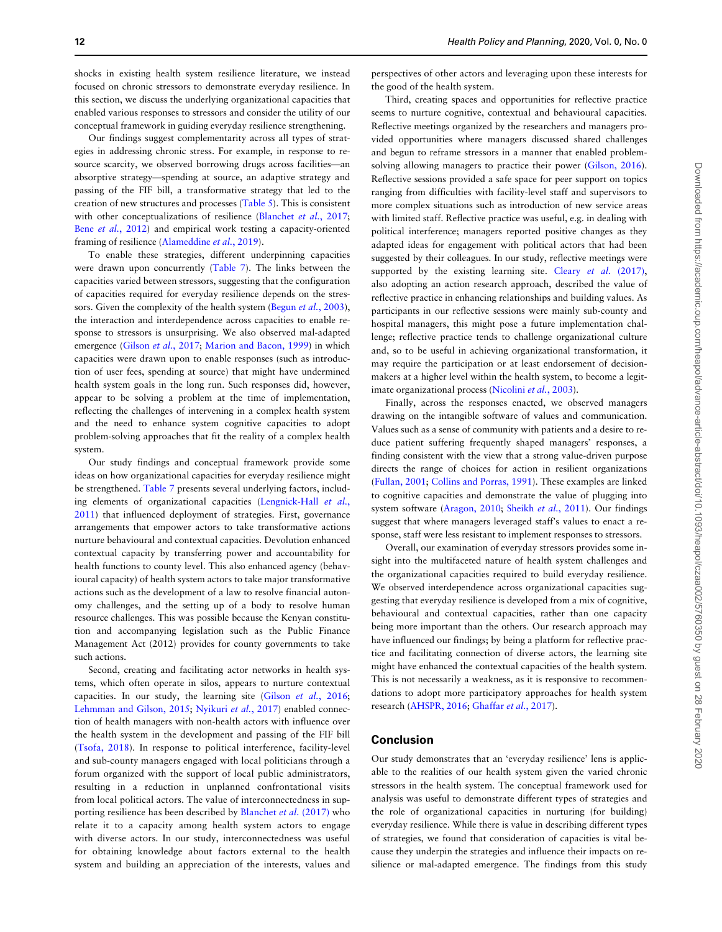shocks in existing health system resilience literature, we instead focused on chronic stressors to demonstrate everyday resilience. In this section, we discuss the underlying organizational capacities that enabled various responses to stressors and consider the utility of our conceptual framework in guiding everyday resilience strengthening.

Our findings suggest complementarity across all types of strategies in addressing chronic stress. For example, in response to resource scarcity, we observed borrowing drugs across facilities—an absorptive strategy—spending at source, an adaptive strategy and passing of the FIF bill, a transformative strategy that led to the creation of new structures and processes ([Table 5\)](#page-6-0). This is consistent with other conceptualizations of resilience ([Blanchet](#page-12-0) et al., 2017; Bene et al.[, 2012\)](#page-12-0) and empirical work testing a capacity-oriented framing of resilience [\(Alameddine](#page-12-0) et al., 2019).

To enable these strategies, different underpinning capacities were drawn upon concurrently ([Table 7](#page-9-0)). The links between the capacities varied between stressors, suggesting that the configuration of capacities required for everyday resilience depends on the stres-sors. Given the complexity of the health system (Begun et al.[, 2003](#page-12-0)), the interaction and interdependence across capacities to enable response to stressors is unsurprising. We also observed mal-adapted emergence [\(Gilson](#page-12-0) et al., 2017; [Marion and Bacon, 1999\)](#page-12-0) in which capacities were drawn upon to enable responses (such as introduction of user fees, spending at source) that might have undermined health system goals in the long run. Such responses did, however, appear to be solving a problem at the time of implementation, reflecting the challenges of intervening in a complex health system and the need to enhance system cognitive capacities to adopt problem-solving approaches that fit the reality of a complex health system.

Our study findings and conceptual framework provide some ideas on how organizational capacities for everyday resilience might be strengthened. [Table 7](#page-9-0) presents several underlying factors, including elements of organizational capacities ([Lengnick-Hall](#page-12-0) et al., [2011\)](#page-12-0) that influenced deployment of strategies. First, governance arrangements that empower actors to take transformative actions nurture behavioural and contextual capacities. Devolution enhanced contextual capacity by transferring power and accountability for health functions to county level. This also enhanced agency (behavioural capacity) of health system actors to take major transformative actions such as the development of a law to resolve financial autonomy challenges, and the setting up of a body to resolve human resource challenges. This was possible because the Kenyan constitution and accompanying legislation such as the Public Finance Management Act (2012) provides for county governments to take such actions.

Second, creating and facilitating actor networks in health systems, which often operate in silos, appears to nurture contextual capacities. In our study, the learning site (Gilson et al.[, 2016;](#page-12-0) [Lehmman and Gilson, 2015](#page-12-0); [Nyikuri](#page-12-0) et al., 2017) enabled connection of health managers with non-health actors with influence over the health system in the development and passing of the FIF bill ([Tsofa, 2018\)](#page-13-0). In response to political interference, facility-level and sub-county managers engaged with local politicians through a forum organized with the support of local public administrators, resulting in a reduction in unplanned confrontational visits from local political actors. The value of interconnectedness in supporting resilience has been described by [Blanchet](#page-12-0) et al. (2017) who relate it to a capacity among health system actors to engage with diverse actors. In our study, interconnectedness was useful for obtaining knowledge about factors external to the health system and building an appreciation of the interests, values and perspectives of other actors and leveraging upon these interests for the good of the health system.

Third, creating spaces and opportunities for reflective practice seems to nurture cognitive, contextual and behavioural capacities. Reflective meetings organized by the researchers and managers provided opportunities where managers discussed shared challenges and begun to reframe stressors in a manner that enabled problemsolving allowing managers to practice their power ([Gilson, 2016](#page-12-0)). Reflective sessions provided a safe space for peer support on topics ranging from difficulties with facility-level staff and supervisors to more complex situations such as introduction of new service areas with limited staff. Reflective practice was useful, e.g. in dealing with political interference; managers reported positive changes as they adapted ideas for engagement with political actors that had been suggested by their colleagues. In our study, reflective meetings were supported by the existing learning site. Cleary  $et$   $al.$  [\(2017\),](#page-12-0) also adopting an action research approach, described the value of reflective practice in enhancing relationships and building values. As participants in our reflective sessions were mainly sub-county and hospital managers, this might pose a future implementation challenge; reflective practice tends to challenge organizational culture and, so to be useful in achieving organizational transformation, it may require the participation or at least endorsement of decisionmakers at a higher level within the health system, to become a legitimate organizational process ([Nicolini](#page-12-0) et al., 2003).

Finally, across the responses enacted, we observed managers drawing on the intangible software of values and communication. Values such as a sense of community with patients and a desire to reduce patient suffering frequently shaped managers' responses, a finding consistent with the view that a strong value-driven purpose directs the range of choices for action in resilient organizations ([Fullan, 2001;](#page-12-0) [Collins and Porras, 1991\)](#page-12-0). These examples are linked to cognitive capacities and demonstrate the value of plugging into system software [\(Aragon, 2010;](#page-12-0) Sheikh et al.[, 2011\)](#page-13-0). Our findings suggest that where managers leveraged staff's values to enact a response, staff were less resistant to implement responses to stressors.

Overall, our examination of everyday stressors provides some insight into the multifaceted nature of health system challenges and the organizational capacities required to build everyday resilience. We observed interdependence across organizational capacities suggesting that everyday resilience is developed from a mix of cognitive, behavioural and contextual capacities, rather than one capacity being more important than the others. Our research approach may have influenced our findings; by being a platform for reflective practice and facilitating connection of diverse actors, the learning site might have enhanced the contextual capacities of the health system. This is not necessarily a weakness, as it is responsive to recommendations to adopt more participatory approaches for health system research [\(AHSPR, 2016](#page-12-0); [Ghaffar](#page-12-0) et al., 2017).

# Conclusion

Our study demonstrates that an 'everyday resilience' lens is applicable to the realities of our health system given the varied chronic stressors in the health system. The conceptual framework used for analysis was useful to demonstrate different types of strategies and the role of organizational capacities in nurturing (for building) everyday resilience. While there is value in describing different types of strategies, we found that consideration of capacities is vital because they underpin the strategies and influence their impacts on resilience or mal-adapted emergence. The findings from this study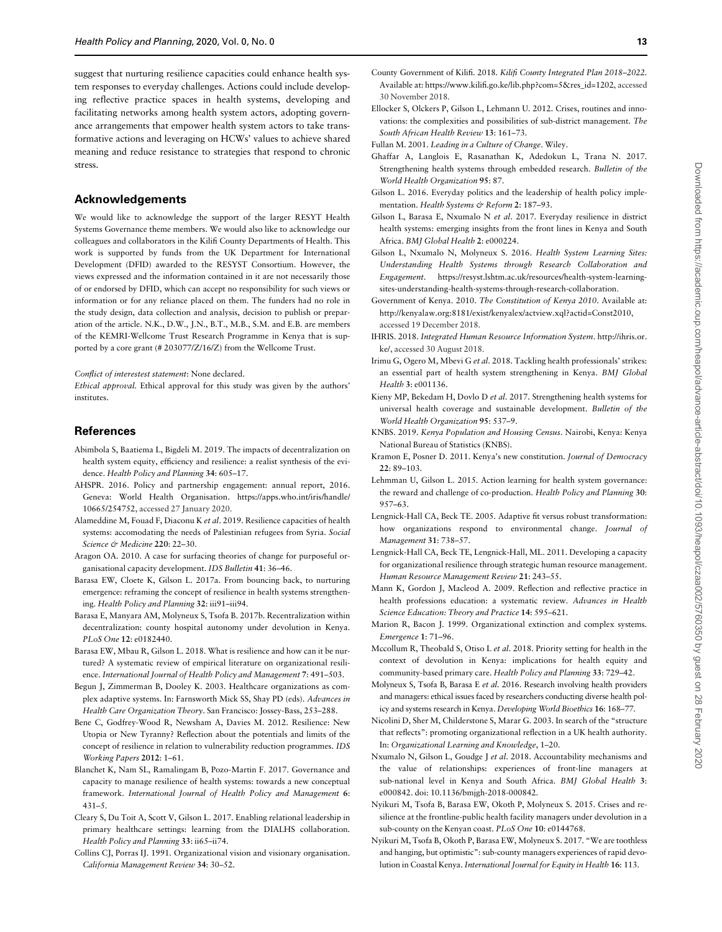<span id="page-12-0"></span>suggest that nurturing resilience capacities could enhance health system responses to everyday challenges. Actions could include developing reflective practice spaces in health systems, developing and facilitating networks among health system actors, adopting governance arrangements that empower health system actors to take transformative actions and leveraging on HCWs' values to achieve shared meaning and reduce resistance to strategies that respond to chronic stress.

# Acknowledgements

We would like to acknowledge the support of the larger RESYT Health Systems Governance theme members. We would also like to acknowledge our colleagues and collaborators in the Kilifi County Departments of Health. This work is supported by funds from the UK Department for International Development (DFID) awarded to the RESYST Consortium. However, the views expressed and the information contained in it are not necessarily those of or endorsed by DFID, which can accept no responsibility for such views or information or for any reliance placed on them. The funders had no role in the study design, data collection and analysis, decision to publish or preparation of the article. N.K., D.W., J.N., B.T., M.B., S.M. and E.B. are members of the KEMRI-Wellcome Trust Research Programme in Kenya that is supported by a core grant (# 203077/Z/16/Z) from the Wellcome Trust.

Conflict of interestest statement: None declared.

Ethical approval. Ethical approval for this study was given by the authors' institutes.

# **References**

- Abimbola S, Baatiema L, Bigdeli M. 2019. The impacts of decentralization on health system equity, efficiency and resilience: a realist synthesis of the evidence. Health Policy and Planning 34: 605–17.
- AHSPR. 2016. Policy and partnership engagement: annual report, 2016. Geneva: World Health Organisation. [https://apps.who.int/iris/handle/](https://apps.who.int/iris/handle/10665/254752) [10665/254752,](https://apps.who.int/iris/handle/10665/254752) accessed 27 January 2020.
- Alameddine M, Fouad F, Diaconu K et al. 2019. Resilience capacities of health systems: accomodating the needs of Palestinian refugees from Syria. Social Science & Medicine 220: 22-30.
- Aragon OA. 2010. A case for surfacing theories of change for purposeful organisational capacity development. IDS Bulletin 41: 36–46.
- Barasa EW, Cloete K, Gilson L. 2017a. From bouncing back, to nurturing emergence: reframing the concept of resilience in health systems strengthening. Health Policy and Planning 32: iii91–iii94.
- Barasa E, Manyara AM, Molyneux S, Tsofa B. 2017b. Recentralization within decentralization: county hospital autonomy under devolution in Kenya. PLoS One 12: e0182440.
- Barasa EW, Mbau R, Gilson L. 2018. What is resilience and how can it be nurtured? A systematic review of empirical literature on organizational resilience. International Journal of Health Policy and Management 7: 491–503.
- Begun J, Zimmerman B, Dooley K. 2003. Healthcare organizations as complex adaptive systems. In: Farnsworth Mick SS, Shay PD (eds). Advances in Health Care Organization Theory. San Francisco: Jossey-Bass, 253–288.
- Bene C, Godfrey-Wood R, Newsham A, Davies M. 2012. Resilience: New Utopia or New Tyranny? Reflection about the potentials and limits of the concept of resilience in relation to vulnerability reduction programmes. IDS Working Papers 2012: 1–61.
- Blanchet K, Nam SL, Ramalingam B, Pozo-Martin F. 2017. Governance and capacity to manage resilience of health systems: towards a new conceptual framework. International Journal of Health Policy and Management 6: 431–5.
- Cleary S, Du Toit A, Scott V, Gilson L. 2017. Enabling relational leadership in primary healthcare settings: learning from the DIALHS collaboration. Health Policy and Planning 33: ii65–ii74.
- Collins CJ, Porras IJ. 1991. Organizational vision and visionary organisation. California Management Review 34: 30–52.
- County Government of Kilifi. 2018. Kilifi County Integrated Plan 2018–2022. Available at: [https://www.kilifi.go.ke/lib.php?com=5&res\\_id=1202,](https://www.kilifi.go.ke/lib.php?com=5&res_id=1202) accessed 30 November 2018.
- Ellocker S, Olckers P, Gilson L, Lehmann U. 2012. Crises, routines and innovations: the complexities and possibilities of sub-district management. The South African Health Review 13: 161–73.

Fullan M. 2001. Leading in a Culture of Change. Wiley.

- Ghaffar A, Langlois E, Rasanathan K, Adedokun L, Trana N. 2017. Strengthening health systems through embedded research. Bulletin of the World Health Organization 95: 87.
- Gilson L. 2016. Everyday politics and the leadership of health policy implementation. Health Systems & Reform 2: 187-93.
- Gilson L, Barasa E, Nxumalo N et al. 2017. Everyday resilience in district health systems: emerging insights from the front lines in Kenya and South Africa. BMJ Global Health 2: e000224.
- Gilson L, Nxumalo N, Molyneux S. 2016. Health System Learning Sites: Understanding Health Systems through Research Collaboration and Engagement. [https://resyst.lshtm.ac.uk/resources/health-system-learning](https://resyst.lshtm.ac.uk/resources/health-system-learning-sites-understanding-health-systems-through-research-collaboration)[sites-understanding-health-systems-through-research-collaboration](https://resyst.lshtm.ac.uk/resources/health-system-learning-sites-understanding-health-systems-through-research-collaboration).
- Government of Kenya. 2010. The Constitution of Kenya 2010. Available at: [http://kenyalaw.org:8181/exist/kenyalex/actview.xql?actid=Const2010,](http://kenyalaw.org:8181/exist/kenyalex/actview.xql?actid=Const2010) accessed 19 December 2018.
- IHRIS. 2018. Integrated Human Resource Information System. [http://ihris.or.](http://ihris.or.ke/) [ke/](http://ihris.or.ke/), accessed 30 August 2018.
- Irimu G, Ogero M, Mbevi G et al. 2018. Tackling health professionals' strikes: an essential part of health system strengthening in Kenya. BMJ Global Health 3: e001136.
- Kieny MP, Bekedam H, Dovlo D et al. 2017. Strengthening health systems for universal health coverage and sustainable development. Bulletin of the World Health Organization 95: 537–9.
- KNBS. 2019. Kenya Population and Housing Census. Nairobi, Kenya: Kenya National Bureau of Statistics (KNBS).
- Kramon E, Posner D. 2011. Kenya's new constitution. Journal of Democracy 22: 89–103.
- Lehmman U, Gilson L. 2015. Action learning for health system governance: the reward and challenge of co-production. Health Policy and Planning 30: 957–63.
- Lengnick-Hall CA, Beck TE. 2005. Adaptive fit versus robust transformation: how organizations respond to environmental change. Journal of Management 31: 738–57.
- Lengnick-Hall CA, Beck TE, Lengnick-Hall, ML. 2011. Developing a capacity for organizational resilience through strategic human resource management. Human Resource Management Review 21: 243–55.
- Mann K, Gordon J, Macleod A. 2009. Reflection and reflective practice in health professions education: a systematic review. Advances in Health Science Education: Theory and Practice 14: 595–621.
- Marion R, Bacon J. 1999. Organizational extinction and complex systems. Emergence 1: 71–96.
- Mccollum R, Theobald S, Otiso L et al. 2018. Priority setting for health in the context of devolution in Kenya: implications for health equity and community-based primary care. Health Policy and Planning 33: 729–42.
- Molyneux S, Tsofa B, Barasa E et al. 2016. Research involving health providers and managers: ethical issues faced by researchers conducting diverse health policy and systems research in Kenya. Developing World Bioethics 16: 168–77.
- Nicolini D, Sher M, Childerstone S, Marar G. 2003. In search of the "structure that reflects": promoting organizational reflection in a UK health authority. In: Organizational Learning and Knowledge, 1–20.
- Nxumalo N, Gilson L, Goudge J et al. 2018. Accountability mechanisms and the value of relationships: experiences of front-line managers at sub-national level in Kenya and South Africa. BMJ Global Health 3: e000842. doi: 10.1136/bmjgh-2018-000842.
- Nyikuri M, Tsofa B, Barasa EW, Okoth P, Molyneux S. 2015. Crises and resilience at the frontline-public health facility managers under devolution in a sub-county on the Kenyan coast. PLoS One 10: e0144768.
- Nyikuri M, Tsofa B, Okoth P, Barasa EW, Molyneux S. 2017. "We are toothless and hanging, but optimistic": sub-county managers experiences of rapid devolution in Coastal Kenya. International Journal for Equity in Health 16: 113.